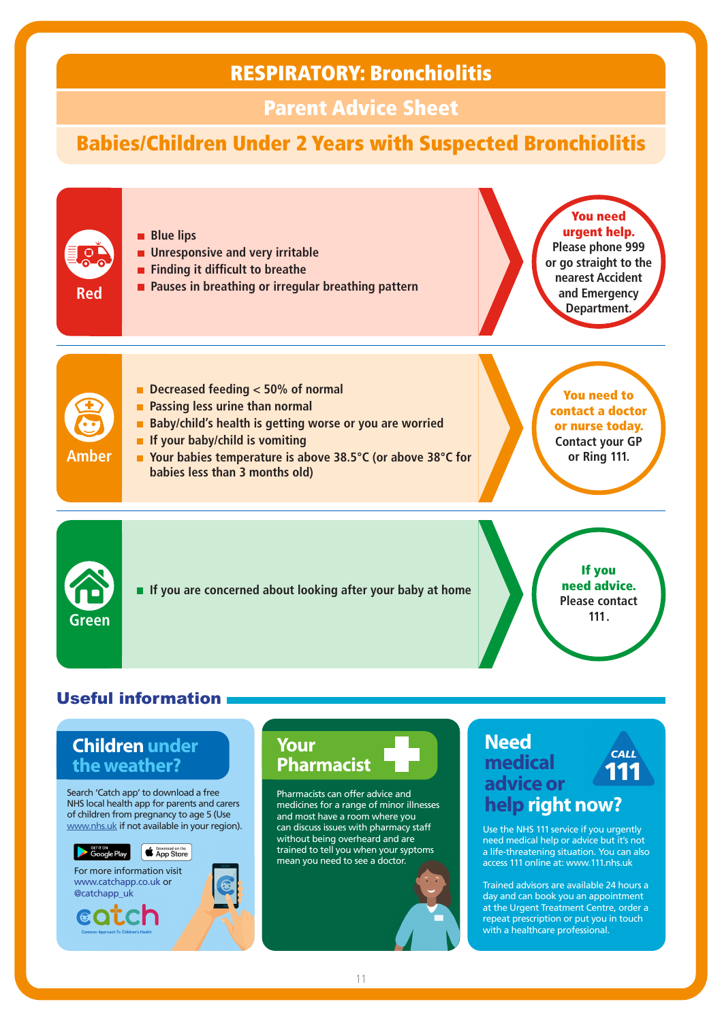### RESPIRATORY: Bronchiolitis

### Parent Advice Sheet

# Babies/Children Under 2 Years with Suspected Bronchiolitis



### **Children under the weather?**

Search 'Catch app' to download a free NHS local health app for parents and carers of children from pregnancy to age 5 (Use www.nhs.uk if not available in your region).





**COLCh** 





Pharmacists can offer advice and medicines for a range of minor illnesses and most have a room where you can discuss issues with pharmacy staff without being overheard and are trained to tell you when your syptoms mean you need to see a doctor.

### **Need CALL medical advice or help right now?**

Use the NHS 111 service if you urgently need medical help or advice but it's not a life-threatening situation. You can also access 111 online at: www.111.nhs.uk

Trained advisors are available 24 hours a day and can book you an appointment at the Urgent Treatment Centre, order a repeat prescription or put you in touch with a healthcare professional.